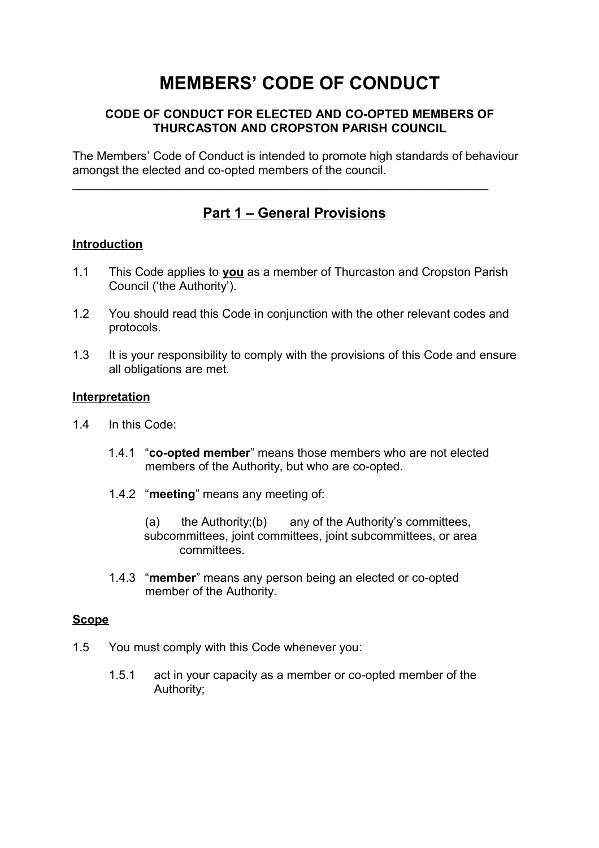# **MEMBERS' CODE OF CONDUCT**

### **CODE OF CONDUCT FOR ELECTED AND CO-OPTED MEMBERS OF THURCASTON AND CROPSTON PARISH COUNCIL**

The Members' Code of Conduct is intended to promote high standards of behaviour amongst the elected and co-opted members of the council.

 $\mathcal{L}_\text{max}$  , and the contract of the contract of the contract of the contract of the contract of the contract of the contract of the contract of the contract of the contract of the contract of the contract of the contr

# **Part 1 – General Provisions**

### **Introduction**

- 1.1 This Code applies to **you** as a member of Thurcaston and Cropston Parish Council ('the Authority').
- 1.2 You should read this Code in conjunction with the other relevant codes and protocols.
- 1.3 It is your responsibility to comply with the provisions of this Code and ensure all obligations are met.

### **Interpretation**

- 1.4 In this Code:
	- 1.4.1 "**co-opted member**" means those members who are not elected members of the Authority, but who are co-opted.
	- 1.4.2 "**meeting**" means any meeting of:

(a) the Authority;(b) any of the Authority's committees, subcommittees, joint committees, joint subcommittees, or area committees.

1.4.3 "**member**" means any person being an elected or co-opted member of the Authority.

### **Scope**

- 1.5 You must comply with this Code whenever you:
	- 1.5.1 act in your capacity as a member or co-opted member of the Authority;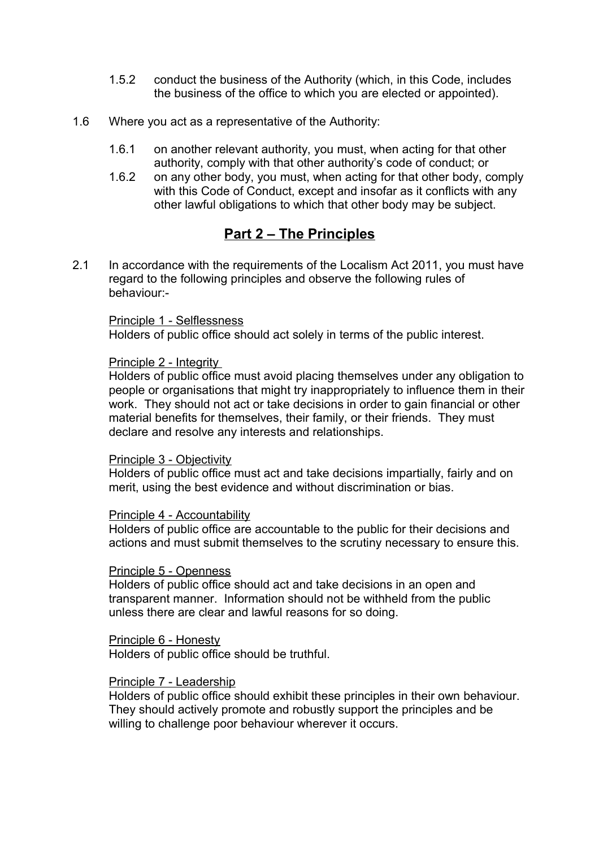- 1.5.2 conduct the business of the Authority (which, in this Code, includes the business of the office to which you are elected or appointed).
- 1.6 Where you act as a representative of the Authority:
	- 1.6.1 on another relevant authority, you must, when acting for that other authority, comply with that other authority's code of conduct; or
	- 1.6.2 on any other body, you must, when acting for that other body, comply with this Code of Conduct, except and insofar as it conflicts with any other lawful obligations to which that other body may be subject.

## **Part 2 – The Principles**

2.1 In accordance with the requirements of the Localism Act 2011, you must have regard to the following principles and observe the following rules of behaviour:-

### Principle 1 - Selflessness

Holders of public office should act solely in terms of the public interest.

### Principle 2 - Integrity

Holders of public office must avoid placing themselves under any obligation to people or organisations that might try inappropriately to influence them in their work. They should not act or take decisions in order to gain financial or other material benefits for themselves, their family, or their friends. They must declare and resolve any interests and relationships.

### Principle 3 - Objectivity

Holders of public office must act and take decisions impartially, fairly and on merit, using the best evidence and without discrimination or bias.

### Principle 4 - Accountability

Holders of public office are accountable to the public for their decisions and actions and must submit themselves to the scrutiny necessary to ensure this.

### Principle 5 - Openness

Holders of public office should act and take decisions in an open and transparent manner. Information should not be withheld from the public unless there are clear and lawful reasons for so doing.

Principle 6 - Honesty

Holders of public office should be truthful.

### Principle 7 - Leadership

Holders of public office should exhibit these principles in their own behaviour. They should actively promote and robustly support the principles and be willing to challenge poor behaviour wherever it occurs.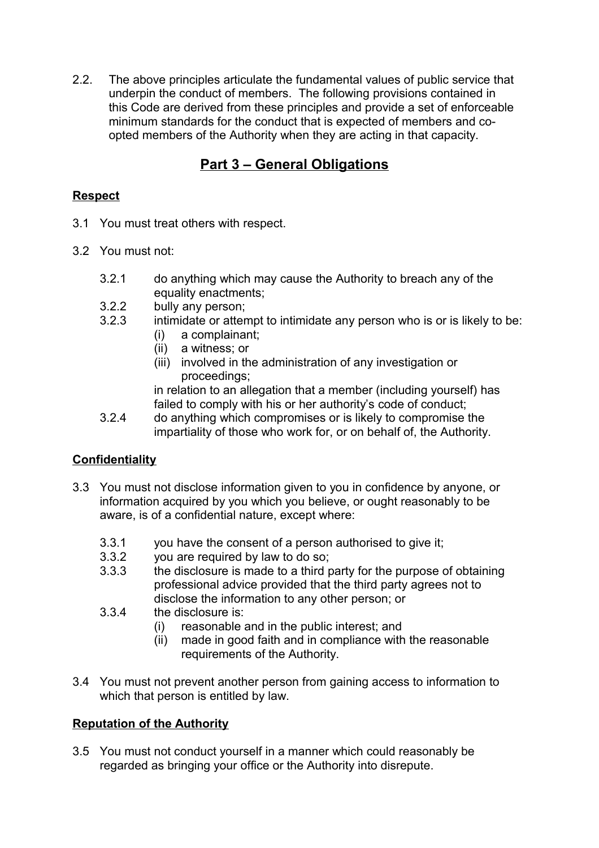2.2. The above principles articulate the fundamental values of public service that underpin the conduct of members. The following provisions contained in this Code are derived from these principles and provide a set of enforceable minimum standards for the conduct that is expected of members and coopted members of the Authority when they are acting in that capacity.

# **Part 3 – General Obligations**

### **Respect**

- 3.1 You must treat others with respect.
- 3.2 You must not:
	- 3.2.1 do anything which may cause the Authority to breach any of the equality enactments;
	- 3.2.2 bully any person;
	- 3.2.3 intimidate or attempt to intimidate any person who is or is likely to be:
		- (i) a complainant;
		- (ii) a witness; or
		- (iii) involved in the administration of any investigation or proceedings;

in relation to an allegation that a member (including yourself) has failed to comply with his or her authority's code of conduct;

3.2.4 do anything which compromises or is likely to compromise the impartiality of those who work for, or on behalf of, the Authority.

### **Confidentiality**

- 3.3 You must not disclose information given to you in confidence by anyone, or information acquired by you which you believe, or ought reasonably to be aware, is of a confidential nature, except where:
	- 3.3.1 you have the consent of a person authorised to give it;
	- 3.3.2 you are required by law to do so;
	- 3.3.3 the disclosure is made to a third party for the purpose of obtaining professional advice provided that the third party agrees not to disclose the information to any other person; or
	- 3.3.4 the disclosure is:
		- (i) reasonable and in the public interest; and
		- (ii) made in good faith and in compliance with the reasonable requirements of the Authority.
- 3.4 You must not prevent another person from gaining access to information to which that person is entitled by law.

### **Reputation of the Authority**

3.5 You must not conduct yourself in a manner which could reasonably be regarded as bringing your office or the Authority into disrepute.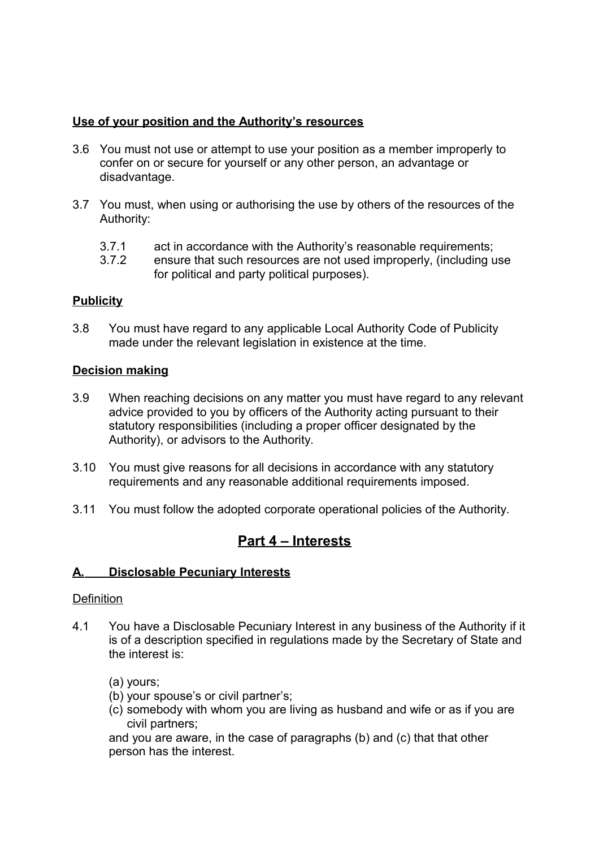### **Use of your position and the Authority's resources**

- 3.6 You must not use or attempt to use your position as a member improperly to confer on or secure for yourself or any other person, an advantage or disadvantage.
- 3.7 You must, when using or authorising the use by others of the resources of the Authority:
	- 3.7.1 act in accordance with the Authority's reasonable requirements;
	- 3.7.2 ensure that such resources are not used improperly, (including use for political and party political purposes).

### **Publicity**

3.8 You must have regard to any applicable Local Authority Code of Publicity made under the relevant legislation in existence at the time.

### **Decision making**

- 3.9 When reaching decisions on any matter you must have regard to any relevant advice provided to you by officers of the Authority acting pursuant to their statutory responsibilities (including a proper officer designated by the Authority), or advisors to the Authority.
- 3.10 You must give reasons for all decisions in accordance with any statutory requirements and any reasonable additional requirements imposed.
- 3.11 You must follow the adopted corporate operational policies of the Authority.

## **Part 4 – Interests**

### **A. Disclosable Pecuniary Interests**

### **Definition**

4.1 You have a Disclosable Pecuniary Interest in any business of the Authority if it is of a description specified in regulations made by the Secretary of State and the interest is:

(a) yours;

- (b) your spouse's or civil partner's;
- (c) somebody with whom you are living as husband and wife or as if you are civil partners;

and you are aware, in the case of paragraphs (b) and (c) that that other person has the interest.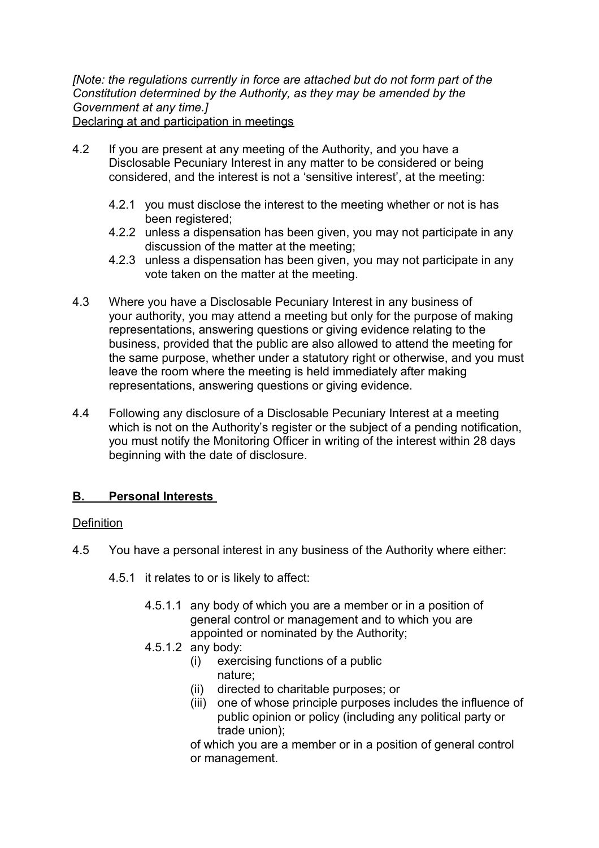*[Note: the regulations currently in force are attached but do not form part of the Constitution determined by the Authority, as they may be amended by the Government at any time.]* Declaring at and participation in meetings

- 4.2 If you are present at any meeting of the Authority, and you have a Disclosable Pecuniary Interest in any matter to be considered or being considered, and the interest is not a 'sensitive interest', at the meeting:
	- 4.2.1 you must disclose the interest to the meeting whether or not is has been registered;
	- 4.2.2 unless a dispensation has been given, you may not participate in any discussion of the matter at the meeting;
	- 4.2.3 unless a dispensation has been given, you may not participate in any vote taken on the matter at the meeting.
- 4.3 Where you have a Disclosable Pecuniary Interest in any business of your authority, you may attend a meeting but only for the purpose of making representations, answering questions or giving evidence relating to the business, provided that the public are also allowed to attend the meeting for the same purpose, whether under a statutory right or otherwise, and you must leave the room where the meeting is held immediately after making representations, answering questions or giving evidence.
- 4.4 Following any disclosure of a Disclosable Pecuniary Interest at a meeting which is not on the Authority's register or the subject of a pending notification, you must notify the Monitoring Officer in writing of the interest within 28 days beginning with the date of disclosure.

### **B. Personal Interests**

### **Definition**

- 4.5 You have a personal interest in any business of the Authority where either:
	- 4.5.1 it relates to or is likely to affect:
		- 4.5.1.1 any body of which you are a member or in a position of general control or management and to which you are appointed or nominated by the Authority;
		- 4.5.1.2 any body:
			- (i) exercising functions of a public nature;
			- (ii) directed to charitable purposes; or
			- (iii) one of whose principle purposes includes the influence of public opinion or policy (including any political party or trade union);
			- of which you are a member or in a position of general control or management.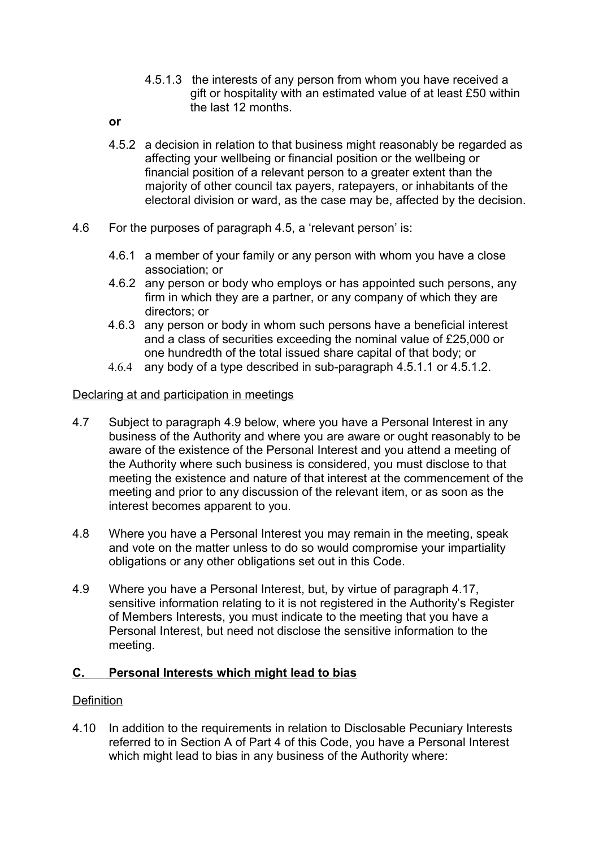- 4.5.1.3 the interests of any person from whom you have received a gift or hospitality with an estimated value of at least £50 within the last 12 months.
- **or**
- 4.5.2 a decision in relation to that business might reasonably be regarded as affecting your wellbeing or financial position or the wellbeing or financial position of a relevant person to a greater extent than the majority of other council tax payers, ratepayers, or inhabitants of the electoral division or ward, as the case may be, affected by the decision.
- 4.6 For the purposes of paragraph 4.5, a 'relevant person' is:
	- 4.6.1 a member of your family or any person with whom you have a close association; or
	- 4.6.2 any person or body who employs or has appointed such persons, any firm in which they are a partner, or any company of which they are directors; or
	- 4.6.3 any person or body in whom such persons have a beneficial interest and a class of securities exceeding the nominal value of £25,000 or one hundredth of the total issued share capital of that body; or
	- 4.6.4 any body of a type described in sub-paragraph 4.5.1.1 or 4.5.1.2.

### Declaring at and participation in meetings

- 4.7 Subject to paragraph 4.9 below, where you have a Personal Interest in any business of the Authority and where you are aware or ought reasonably to be aware of the existence of the Personal Interest and you attend a meeting of the Authority where such business is considered, you must disclose to that meeting the existence and nature of that interest at the commencement of the meeting and prior to any discussion of the relevant item, or as soon as the interest becomes apparent to you.
- 4.8 Where you have a Personal Interest you may remain in the meeting, speak and vote on the matter unless to do so would compromise your impartiality obligations or any other obligations set out in this Code.
- 4.9 Where you have a Personal Interest, but, by virtue of paragraph 4.17, sensitive information relating to it is not registered in the Authority's Register of Members Interests, you must indicate to the meeting that you have a Personal Interest, but need not disclose the sensitive information to the meeting.

### **C. Personal Interests which might lead to bias**

### **Definition**

4.10 In addition to the requirements in relation to Disclosable Pecuniary Interests referred to in Section A of Part 4 of this Code, you have a Personal Interest which might lead to bias in any business of the Authority where: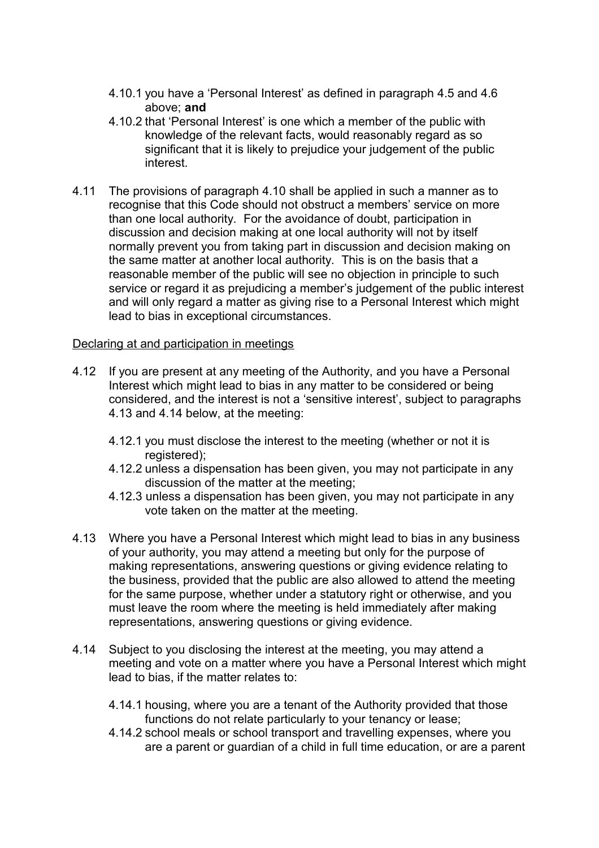- 4.10.1 you have a 'Personal Interest' as defined in paragraph 4.5 and 4.6 above; **and**
- 4.10.2 that 'Personal Interest' is one which a member of the public with knowledge of the relevant facts, would reasonably regard as so significant that it is likely to prejudice your judgement of the public interest.
- 4.11 The provisions of paragraph 4.10 shall be applied in such a manner as to recognise that this Code should not obstruct a members' service on more than one local authority. For the avoidance of doubt, participation in discussion and decision making at one local authority will not by itself normally prevent you from taking part in discussion and decision making on the same matter at another local authority. This is on the basis that a reasonable member of the public will see no objection in principle to such service or regard it as prejudicing a member's judgement of the public interest and will only regard a matter as giving rise to a Personal Interest which might lead to bias in exceptional circumstances.

### Declaring at and participation in meetings

- 4.12 If you are present at any meeting of the Authority, and you have a Personal Interest which might lead to bias in any matter to be considered or being considered, and the interest is not a 'sensitive interest', subject to paragraphs 4.13 and 4.14 below, at the meeting:
	- 4.12.1 you must disclose the interest to the meeting (whether or not it is registered);
	- 4.12.2 unless a dispensation has been given, you may not participate in any discussion of the matter at the meeting;
	- 4.12.3 unless a dispensation has been given, you may not participate in any vote taken on the matter at the meeting.
- 4.13 Where you have a Personal Interest which might lead to bias in any business of your authority, you may attend a meeting but only for the purpose of making representations, answering questions or giving evidence relating to the business, provided that the public are also allowed to attend the meeting for the same purpose, whether under a statutory right or otherwise, and you must leave the room where the meeting is held immediately after making representations, answering questions or giving evidence.
- 4.14 Subject to you disclosing the interest at the meeting, you may attend a meeting and vote on a matter where you have a Personal Interest which might lead to bias, if the matter relates to:
	- 4.14.1 housing, where you are a tenant of the Authority provided that those functions do not relate particularly to your tenancy or lease;
	- 4.14.2 school meals or school transport and travelling expenses, where you are a parent or guardian of a child in full time education, or are a parent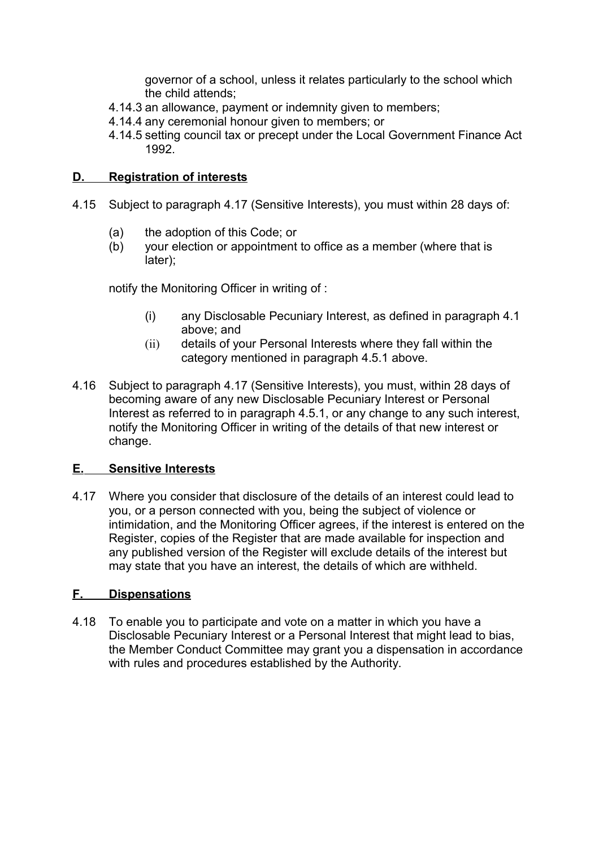governor of a school, unless it relates particularly to the school which the child attends;

- 4.14.3 an allowance, payment or indemnity given to members;
- 4.14.4 any ceremonial honour given to members; or
- 4.14.5 setting council tax or precept under the Local Government Finance Act 1992.

### **D. Registration of interests**

- 4.15 Subject to paragraph 4.17 (Sensitive Interests), you must within 28 days of:
	- (a) the adoption of this Code; or
	- (b) your election or appointment to office as a member (where that is later);

notify the Monitoring Officer in writing of :

- (i) any Disclosable Pecuniary Interest, as defined in paragraph 4.1 above; and
- (ii) details of your Personal Interests where they fall within the category mentioned in paragraph 4.5.1 above.
- 4.16 Subject to paragraph 4.17 (Sensitive Interests), you must, within 28 days of becoming aware of any new Disclosable Pecuniary Interest or Personal Interest as referred to in paragraph 4.5.1, or any change to any such interest, notify the Monitoring Officer in writing of the details of that new interest or change.

### **E. Sensitive Interests**

4.17 Where you consider that disclosure of the details of an interest could lead to you, or a person connected with you, being the subject of violence or intimidation, and the Monitoring Officer agrees, if the interest is entered on the Register, copies of the Register that are made available for inspection and any published version of the Register will exclude details of the interest but may state that you have an interest, the details of which are withheld.

### **F. Dispensations**

4.18 To enable you to participate and vote on a matter in which you have a Disclosable Pecuniary Interest or a Personal Interest that might lead to bias, the Member Conduct Committee may grant you a dispensation in accordance with rules and procedures established by the Authority.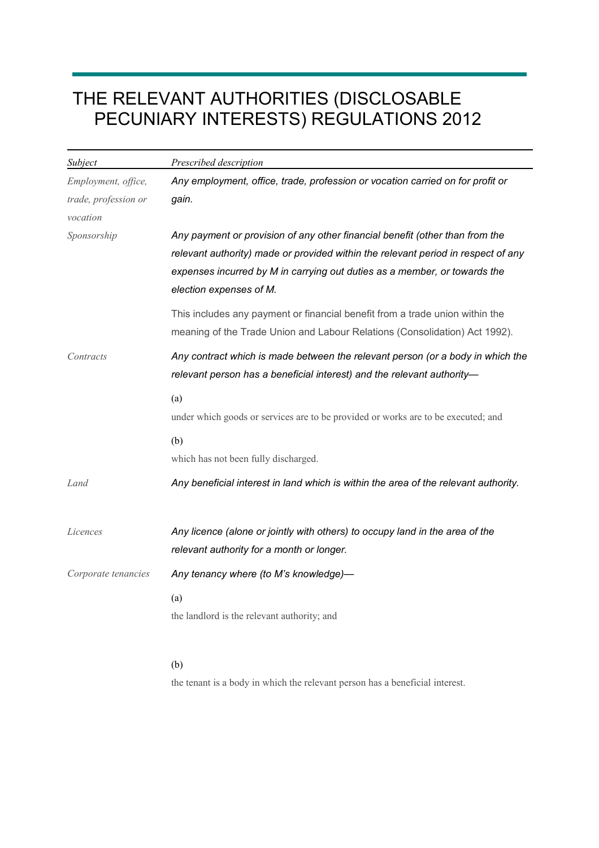# THE RELEVANT AUTHORITIES (DISCLOSABLE PECUNIARY INTERESTS) REGULATIONS 2012

| <b>Subject</b>       | Prescribed description                                                                                                                                                                                                                                                    |
|----------------------|---------------------------------------------------------------------------------------------------------------------------------------------------------------------------------------------------------------------------------------------------------------------------|
| Employment, office,  | Any employment, office, trade, profession or vocation carried on for profit or                                                                                                                                                                                            |
| trade, profession or | gain.                                                                                                                                                                                                                                                                     |
| vocation             |                                                                                                                                                                                                                                                                           |
| Sponsorship          | Any payment or provision of any other financial benefit (other than from the<br>relevant authority) made or provided within the relevant period in respect of any<br>expenses incurred by M in carrying out duties as a member, or towards the<br>election expenses of M. |
|                      | This includes any payment or financial benefit from a trade union within the<br>meaning of the Trade Union and Labour Relations (Consolidation) Act 1992).                                                                                                                |
| Contracts            | Any contract which is made between the relevant person (or a body in which the<br>relevant person has a beneficial interest) and the relevant authority-                                                                                                                  |
|                      | (a)<br>under which goods or services are to be provided or works are to be executed; and                                                                                                                                                                                  |
|                      | (b)<br>which has not been fully discharged.                                                                                                                                                                                                                               |
| Land                 | Any beneficial interest in land which is within the area of the relevant authority.                                                                                                                                                                                       |
| Licences             | Any licence (alone or jointly with others) to occupy land in the area of the<br>relevant authority for a month or longer.                                                                                                                                                 |
| Corporate tenancies  | Any tenancy where (to M's knowledge)-                                                                                                                                                                                                                                     |
|                      | (a)<br>the landlord is the relevant authority; and                                                                                                                                                                                                                        |
|                      | (b)                                                                                                                                                                                                                                                                       |

the tenant is a body in which the relevant person has a beneficial interest.